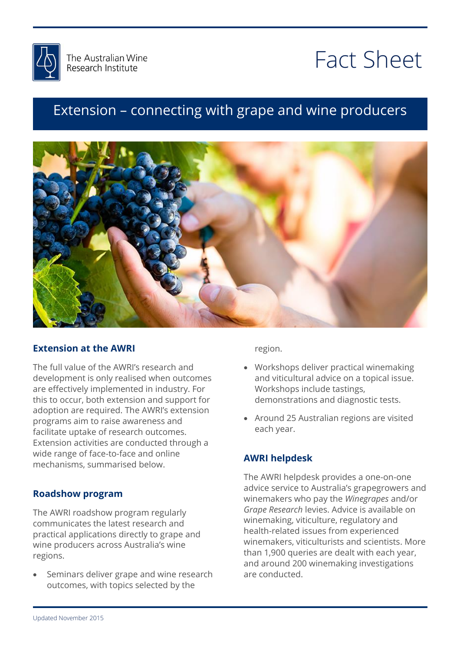

# Fact Sheet

# and wine producers Extension – connecting with grape and wine producers



## **Extension at the AWRI**

The full value of the AWRI's research and development is only realised when outcomes are effectively implemented in industry. For this to occur, both extension and support for adoption are required. The AWRI's extension programs aim to raise awareness and facilitate uptake of research outcomes. Extension activities are conducted through a wide range of face-to-face and online mechanisms, summarised below.

## **Roadshow program**

The AWRI roadshow program regularly communicates the latest research and practical applications directly to grape and wine producers across Australia's wine regions.

 Seminars deliver grape and wine research outcomes, with topics selected by the

region.

- Workshops deliver practical winemaking and viticultural advice on a topical issue. Workshops include tastings, demonstrations and diagnostic tests.
- Around 25 Australian regions are visited each year.

# **AWRI helpdesk**

The AWRI helpdesk provides a one-on-one advice service to Australia's grapegrowers and winemakers who pay the *Winegrapes* and/or *Grape Research* levies. Advice is available on winemaking, viticulture, regulatory and health-related issues from experienced winemakers, viticulturists and scientists. More than 1,900 queries are dealt with each year, and around 200 winemaking investigations are conducted.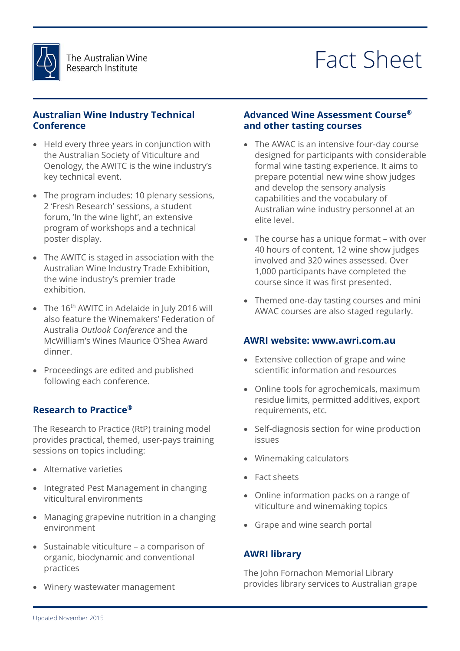

# Fact Sheet

## **Australian Wine Industry Technical Conference**

- Held every three years in conjunction with the Australian Society of Viticulture and Oenology, the AWITC is the wine industry's key technical event.
- The program includes: 10 plenary sessions, 2 'Fresh Research' sessions, a student forum, 'In the wine light', an extensive program of workshops and a technical poster display.
- The AWITC is staged in association with the Australian Wine Industry Trade Exhibition, the wine industry's premier trade exhibition.
- The 16<sup>th</sup> AWITC in Adelaide in July 2016 will also feature the Winemakers' Federation of Australia *Outlook Conference* and the McWilliam's Wines Maurice O'Shea Award dinner.
- Proceedings are edited and published following each conference.

# **Research to Practice®**

The Research to Practice (RtP) training model provides practical, themed, user-pays training sessions on topics including:

- Alternative varieties
- Integrated Pest Management in changing viticultural environments
- Managing grapevine nutrition in a changing environment
- Sustainable viticulture a comparison of organic, biodynamic and conventional practices
- Winery wastewater management

# <u>WINEMAKING METAL SERIKA DI SERIKA DI SERIKA DI SERIKA DI SERIKA DI SERIKA DI SERIKA DI SERIKA DI SERIKA DI SE</u> **Advanced Wine Assessment Course® and other tasting courses**

- and other tasting coarses<br>• The AWAC is an intensive four-day course formal wine tasting experience. It aims to<br>prepare potential new wine show judges main and the versity analysis<br>capabilities and the vocabulary of<br>Australian wine industry personnel at an designed for participants with considerable prepare potential new wine show judges and develop the sensory analysis capabilities and the vocabulary of elite level.
- ence rever.<br>• The course has a unique format with over involved and 320 wines assessed. Over<br>1,000 participants have completed the 40 hours of content, 12 wine show judges involved and 320 wines assessed. Over course since it was first presented.
- Themed one-day tasting courses and mini AWAC courses are also staged regularly.

### **AWRI website: www.awri.com.au**

- Extensive collection of grape and wine scientific information and resources
- Online tools for agrochemicals, maximum residue limits, permitted additives, export requirements, etc.
- Self-diagnosis section for wine production issues
- Winemaking calculators
- Fact sheets
- Online information packs on a range of viticulture and winemaking topics
- Grape and wine search portal

# **AWRI library**

The John Fornachon Memorial Library provides library services to Australian grape